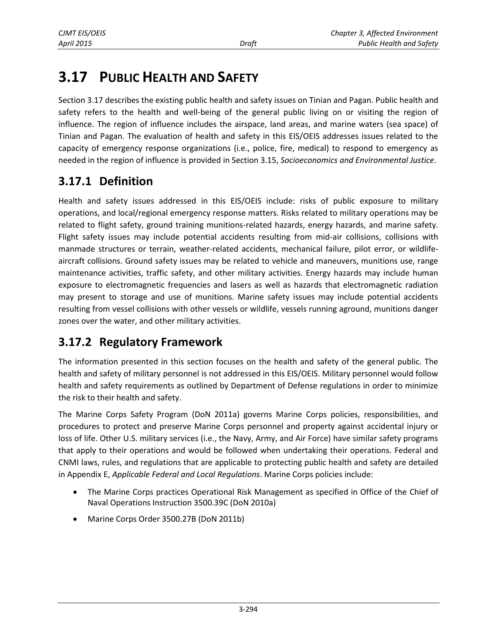# **3.17 PUBLIC HEALTH AND SAFETY**

Section 3.17 describes the existing public health and safety issues on Tinian and Pagan. Public health and safety refers to the health and well-being of the general public living on or visiting the region of influence. The region of influence includes the airspace, land areas, and marine waters (sea space) of Tinian and Pagan. The evaluation of health and safety in this EIS/OEIS addresses issues related to the capacity of emergency response organizations (i.e., police, fire, medical) to respond to emergency as needed in the region of influence is provided in Section 3.15, *Socioeconomics and Environmental Justice*.

# **3.17.1 Definition**

Health and safety issues addressed in this EIS/OEIS include: risks of public exposure to military operations, and local/regional emergency response matters. Risks related to military operations may be related to flight safety, ground training munitions-related hazards, energy hazards, and marine safety. Flight safety issues may include potential accidents resulting from mid-air collisions, collisions with manmade structures or terrain, weather-related accidents, mechanical failure, pilot error, or wildlifeaircraft collisions. Ground safety issues may be related to vehicle and maneuvers, munitions use, range maintenance activities, traffic safety, and other military activities. Energy hazards may include human exposure to electromagnetic frequencies and lasers as well as hazards that electromagnetic radiation may present to storage and use of munitions. Marine safety issues may include potential accidents resulting from vessel collisions with other vessels or wildlife, vessels running aground, munitions danger zones over the water, and other military activities.

# **3.17.2 Regulatory Framework**

The information presented in this section focuses on the health and safety of the general public. The health and safety of military personnel is not addressed in this EIS/OEIS. Military personnel would follow health and safety requirements as outlined by Department of Defense regulations in order to minimize the risk to their health and safety.

The Marine Corps Safety Program (DoN 2011a) governs Marine Corps policies, responsibilities, and procedures to protect and preserve Marine Corps personnel and property against accidental injury or loss of life. Other U.S. military services (i.e., the Navy, Army, and Air Force) have similar safety programs that apply to their operations and would be followed when undertaking their operations. Federal and CNMI laws, rules, and regulations that are applicable to protecting public health and safety are detailed in Appendix E, *Applicable Federal and Local Regulations*. Marine Corps policies include:

- The Marine Corps practices Operational Risk Management as specified in Office of the Chief of Naval Operations Instruction 3500.39C (DoN 2010a)
- Marine Corps Order 3500.27B (DoN 2011b)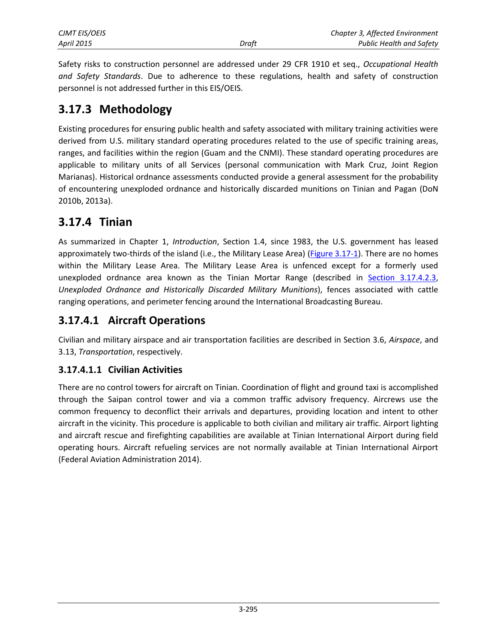Safety risks to construction personnel are addressed under 29 CFR 1910 et seq., *Occupational Health and Safety Standards*. Due to adherence to these regulations, health and safety of construction personnel is not addressed further in this EIS/OEIS.

### **3.17.3 Methodology**

Existing procedures for ensuring public health and safety associated with military training activities were derived from U.S. military standard operating procedures related to the use of specific training areas, ranges, and facilities within the region (Guam and the CNMI). These standard operating procedures are applicable to military units of all Services (personal communication with Mark Cruz, Joint Region Marianas). Historical ordnance assessments conducted provide a general assessment for the probability of encountering unexploded ordnance and historically discarded munitions on Tinian and Pagan (DoN 2010b, 2013a).

# **3.17.4 Tinian**

As summarized in Chapter 1, *Introduction*, Section 1.4, since 1983, the U.S. government has leased approximately two-thirds of the island (i.e., the Military Lease Area) [\(Figure 3.17-1\)](#page-2-0). There are no homes within the Military Lease Area. The Military Lease Area is unfenced except for a formerly used unexploded ordnance area known as the Tinian Mortar Range (described in [Section 3.17.4.2.3,](#page-6-0) *Unexploded Ordnance and Historically Discarded Military Munitions*), fences associated with cattle ranging operations, and perimeter fencing around the International Broadcasting Bureau.

# **3.17.4.1 Aircraft Operations**

Civilian and military airspace and air transportation facilities are described in Section 3.6, *Airspace*, and 3.13, *Transportation*, respectively.

### **3.17.4.1.1 Civilian Activities**

There are no control towers for aircraft on Tinian. Coordination of flight and ground taxi is accomplished through the Saipan control tower and via a common traffic advisory frequency. Aircrews use the common frequency to deconflict their arrivals and departures, providing location and intent to other aircraft in the vicinity. This procedure is applicable to both civilian and military air traffic. Airport lighting and aircraft rescue and firefighting capabilities are available at Tinian International Airport during field operating hours. Aircraft refueling services are not normally available at Tinian International Airport (Federal Aviation Administration 2014).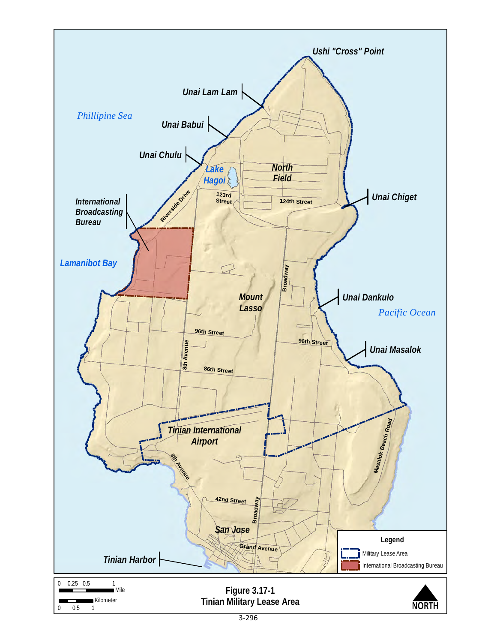<span id="page-2-0"></span>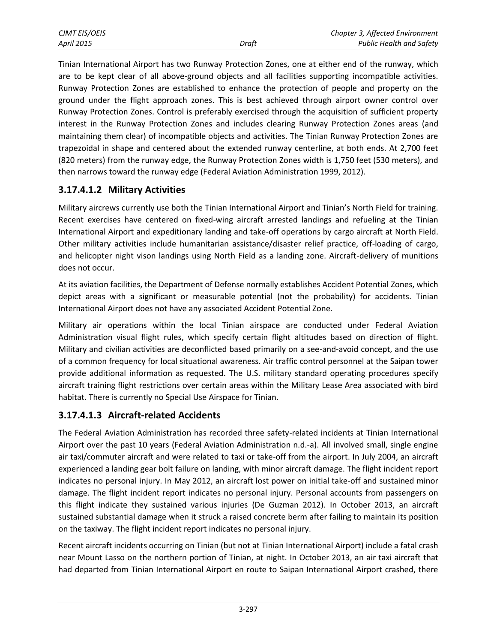| <b>CJMT EIS/OEIS</b> |       | Chapter 3, Affected Environment |
|----------------------|-------|---------------------------------|
| April 2015           | Draft | <b>Public Health and Safety</b> |

Tinian International Airport has two Runway Protection Zones, one at either end of the runway, which are to be kept clear of all above-ground objects and all facilities supporting incompatible activities. Runway Protection Zones are established to enhance the protection of people and property on the ground under the flight approach zones. This is best achieved through airport owner control over Runway Protection Zones. Control is preferably exercised through the acquisition of sufficient property interest in the Runway Protection Zones and includes clearing Runway Protection Zones areas (and maintaining them clear) of incompatible objects and activities. The Tinian Runway Protection Zones are trapezoidal in shape and centered about the extended runway centerline, at both ends. At 2,700 feet (820 meters) from the runway edge, the Runway Protection Zones width is 1,750 feet (530 meters), and then narrows toward the runway edge (Federal Aviation Administration 1999, 2012).

#### **3.17.4.1.2 Military Activities**

Military aircrews currently use both the Tinian International Airport and Tinian's North Field for training. Recent exercises have centered on fixed-wing aircraft arrested landings and refueling at the Tinian International Airport and expeditionary landing and take-off operations by cargo aircraft at North Field. Other military activities include humanitarian assistance/disaster relief practice, off-loading of cargo, and helicopter night vison landings using North Field as a landing zone. Aircraft-delivery of munitions does not occur.

At its aviation facilities, the Department of Defense normally establishes Accident Potential Zones, which depict areas with a significant or measurable potential (not the probability) for accidents. Tinian International Airport does not have any associated Accident Potential Zone.

Military air operations within the local Tinian airspace are conducted under Federal Aviation Administration visual flight rules, which specify certain flight altitudes based on direction of flight. Military and civilian activities are deconflicted based primarily on a see-and-avoid concept, and the use of a common frequency for local situational awareness. Air traffic control personnel at the Saipan tower provide additional information as requested. The U.S. military standard operating procedures specify aircraft training flight restrictions over certain areas within the Military Lease Area associated with bird habitat. There is currently no Special Use Airspace for Tinian.

#### **3.17.4.1.3 Aircraft-related Accidents**

The Federal Aviation Administration has recorded three safety-related incidents at Tinian International Airport over the past 10 years (Federal Aviation Administration n.d.-a). All involved small, single engine air taxi/commuter aircraft and were related to taxi or take-off from the airport. In July 2004, an aircraft experienced a landing gear bolt failure on landing, with minor aircraft damage. The flight incident report indicates no personal injury. In May 2012, an aircraft lost power on initial take-off and sustained minor damage. The flight incident report indicates no personal injury. Personal accounts from passengers on this flight indicate they sustained various injuries (De Guzman 2012). In October 2013, an aircraft sustained substantial damage when it struck a raised concrete berm after failing to maintain its position on the taxiway. The flight incident report indicates no personal injury.

Recent aircraft incidents occurring on Tinian (but not at Tinian International Airport) include a fatal crash near Mount Lasso on the northern portion of Tinian, at night. In October 2013, an air taxi aircraft that had departed from Tinian International Airport en route to Saipan International Airport crashed, there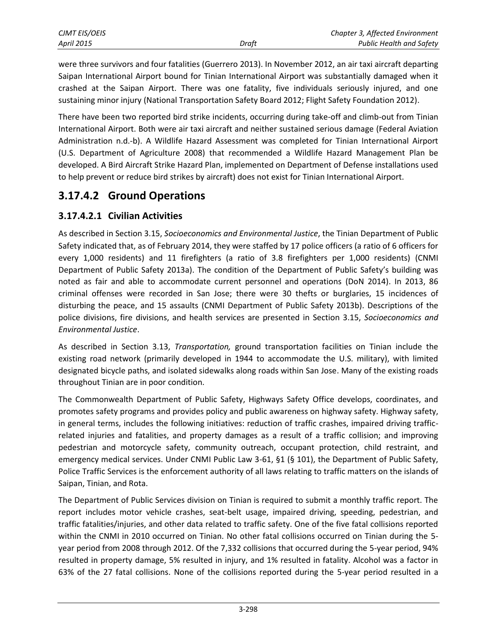| CJMT EIS/OEIS     |       | Chapter 3, Affected Environment |
|-------------------|-------|---------------------------------|
| <b>April 2015</b> | Draft | <b>Public Health and Safety</b> |

were three survivors and four fatalities (Guerrero 2013). In November 2012, an air taxi aircraft departing Saipan International Airport bound for Tinian International Airport was substantially damaged when it crashed at the Saipan Airport. There was one fatality, five individuals seriously injured, and one sustaining minor injury (National Transportation Safety Board 2012; Flight Safety Foundation 2012).

There have been two reported bird strike incidents, occurring during take-off and climb-out from Tinian International Airport. Both were air taxi aircraft and neither sustained serious damage (Federal Aviation Administration n.d.-b). A Wildlife Hazard Assessment was completed for Tinian International Airport (U.S. Department of Agriculture 2008) that recommended a Wildlife Hazard Management Plan be developed. A Bird Aircraft Strike Hazard Plan, implemented on Department of Defense installations used to help prevent or reduce bird strikes by aircraft) does not exist for Tinian International Airport.

# **3.17.4.2 Ground Operations**

### **3.17.4.2.1 Civilian Activities**

As described in Section 3.15, *Socioeconomics and Environmental Justice*, the Tinian Department of Public Safety indicated that, as of February 2014, they were staffed by 17 police officers (a ratio of 6 officers for every 1,000 residents) and 11 firefighters (a ratio of 3.8 firefighters per 1,000 residents) (CNMI Department of Public Safety 2013a). The condition of the Department of Public Safety's building was noted as fair and able to accommodate current personnel and operations (DoN 2014). In 2013, 86 criminal offenses were recorded in San Jose; there were 30 thefts or burglaries, 15 incidences of disturbing the peace, and 15 assaults (CNMI Department of Public Safety 2013b). Descriptions of the police divisions, fire divisions, and health services are presented in Section 3.15, *Socioeconomics and Environmental Justice*.

As described in Section 3.13, *Transportation,* ground transportation facilities on Tinian include the existing road network (primarily developed in 1944 to accommodate the U.S. military), with limited designated bicycle paths, and isolated sidewalks along roads within San Jose. Many of the existing roads throughout Tinian are in poor condition.

The Commonwealth Department of Public Safety, Highways Safety Office develops, coordinates, and promotes safety programs and provides policy and public awareness on highway safety. Highway safety, in general terms, includes the following initiatives: reduction of traffic crashes, impaired driving trafficrelated injuries and fatalities, and property damages as a result of a traffic collision; and improving pedestrian and motorcycle safety, community outreach, occupant protection, child restraint, and emergency medical services. Under CNMI Public Law 3-61, §1 (§ 101), the Department of Public Safety, Police Traffic Services is the enforcement authority of all laws relating to traffic matters on the islands of Saipan, Tinian, and Rota.

The Department of Public Services division on Tinian is required to submit a monthly traffic report. The report includes motor vehicle crashes, seat-belt usage, impaired driving, speeding, pedestrian, and traffic fatalities/injuries, and other data related to traffic safety. One of the five fatal collisions reported within the CNMI in 2010 occurred on Tinian. No other fatal collisions occurred on Tinian during the 5 year period from 2008 through 2012. Of the 7,332 collisions that occurred during the 5-year period, 94% resulted in property damage, 5% resulted in injury, and 1% resulted in fatality. Alcohol was a factor in 63% of the 27 fatal collisions. None of the collisions reported during the 5-year period resulted in a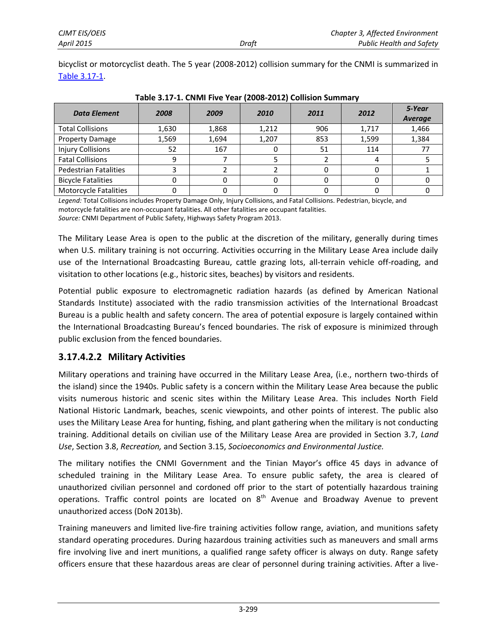bicyclist or motorcyclist death. The 5 year (2008-2012) collision summary for the CNMI is summarized in [Table 3.17-1.](#page-5-0)

| <b>Data Element</b>          | 2008  | 2009  | 2010  | 2011 | 2012  | 5-Year<br><b>Average</b> |
|------------------------------|-------|-------|-------|------|-------|--------------------------|
| <b>Total Collisions</b>      | 1,630 | 1,868 | 1,212 | 906  | 1,717 | 1,466                    |
| <b>Property Damage</b>       | 1,569 | 1,694 | 1,207 | 853  | 1,599 | 1,384                    |
| <b>Injury Collisions</b>     | 52    | 167   |       | 51   | 114   |                          |
| <b>Fatal Collisions</b>      |       |       |       |      |       |                          |
| Pedestrian Fatalities        |       |       |       |      |       |                          |
| <b>Bicycle Fatalities</b>    |       |       |       |      |       |                          |
| <b>Motorcycle Fatalities</b> |       |       |       |      |       |                          |

<span id="page-5-0"></span>**Table 3.17-1. CNMI Five Year (2008-2012) Collision Summary**

*Legend:* Total Collisions includes Property Damage Only, Injury Collisions, and Fatal Collisions. Pedestrian, bicycle, and motorcycle fatalities are non-occupant fatalities. All other fatalities are occupant fatalities. *Source:* CNMI Department of Public Safety, Highways Safety Program 2013.

The Military Lease Area is open to the public at the discretion of the military, generally during times when U.S. military training is not occurring. Activities occurring in the Military Lease Area include daily use of the International Broadcasting Bureau, cattle grazing lots, all-terrain vehicle off-roading, and visitation to other locations (e.g., historic sites, beaches) by visitors and residents.

Potential public exposure to electromagnetic radiation hazards (as defined by American National Standards Institute) associated with the radio transmission activities of the International Broadcast Bureau is a public health and safety concern. The area of potential exposure is largely contained within the International Broadcasting Bureau's fenced boundaries. The risk of exposure is minimized through public exclusion from the fenced boundaries.

### **3.17.4.2.2 Military Activities**

Military operations and training have occurred in the Military Lease Area, (i.e., northern two-thirds of the island) since the 1940s. Public safety is a concern within the Military Lease Area because the public visits numerous historic and scenic sites within the Military Lease Area. This includes North Field National Historic Landmark, beaches, scenic viewpoints, and other points of interest. The public also uses the Military Lease Area for hunting, fishing, and plant gathering when the military is not conducting training. Additional details on civilian use of the Military Lease Area are provided in Section 3.7, *Land Use*, Section 3.8, *Recreation,* and Section 3.15, *Socioeconomics and Environmental Justice.*

The military notifies the CNMI Government and the Tinian Mayor's office 45 days in advance of scheduled training in the Military Lease Area. To ensure public safety, the area is cleared of unauthorized civilian personnel and cordoned off prior to the start of potentially hazardous training operations. Traffic control points are located on  $8<sup>th</sup>$  Avenue and Broadway Avenue to prevent unauthorized access (DoN 2013b).

Training maneuvers and limited live-fire training activities follow range, aviation, and munitions safety standard operating procedures. During hazardous training activities such as maneuvers and small arms fire involving live and inert munitions, a qualified range safety officer is always on duty. Range safety officers ensure that these hazardous areas are clear of personnel during training activities. After a live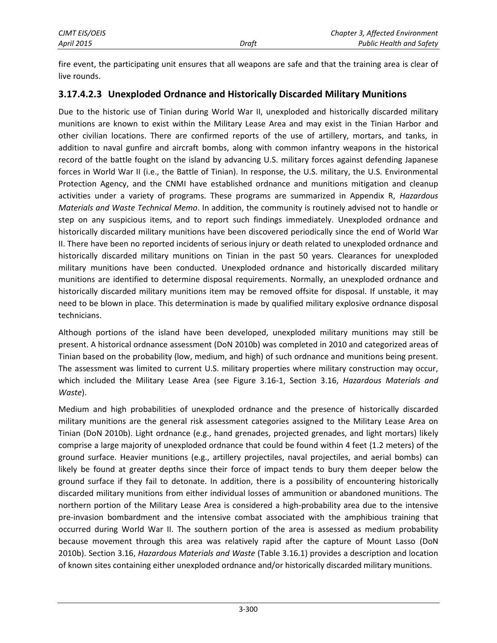fire event, the participating unit ensures that all weapons are safe and that the training area is clear of live rounds.

#### <span id="page-6-0"></span>**3.17.4.2.3 Unexploded Ordnance and Historically Discarded Military Munitions**

Due to the historic use of Tinian during World War II, unexploded and historically discarded military munitions are known to exist within the Military Lease Area and may exist in the Tinian Harbor and other civilian locations. There are confirmed reports of the use of artillery, mortars, and tanks, in addition to naval gunfire and aircraft bombs, along with common infantry weapons in the historical record of the battle fought on the island by advancing U.S. military forces against defending Japanese forces in World War II (i.e., the Battle of Tinian). In response, the U.S. military, the U.S. Environmental Protection Agency, and the CNMI have established ordnance and munitions mitigation and cleanup activities under a variety of programs. These programs are summarized in Appendix R, *Hazardous Materials and Waste Technical Memo*. In addition, the community is routinely advised not to handle or step on any suspicious items, and to report such findings immediately. Unexploded ordnance and historically discarded military munitions have been discovered periodically since the end of World War II. There have been no reported incidents of serious injury or death related to unexploded ordnance and historically discarded military munitions on Tinian in the past 50 years. Clearances for unexploded military munitions have been conducted. Unexploded ordnance and historically discarded military munitions are identified to determine disposal requirements. Normally, an unexploded ordnance and historically discarded military munitions item may be removed offsite for disposal. If unstable, it may need to be blown in place. This determination is made by qualified military explosive ordnance disposal technicians.

Although portions of the island have been developed, unexploded military munitions may still be present. A historical ordnance assessment (DoN 2010b) was completed in 2010 and categorized areas of Tinian based on the probability (low, medium, and high) of such ordnance and munitions being present. The assessment was limited to current U.S. military properties where military construction may occur, which included the Military Lease Area (see Figure 3.16-1, Section 3.16, *Hazardous Materials and Waste*).

Medium and high probabilities of unexploded ordnance and the presence of historically discarded military munitions are the general risk assessment categories assigned to the Military Lease Area on Tinian (DoN 2010b). Light ordnance (e.g., hand grenades, projected grenades, and light mortars) likely comprise a large majority of unexploded ordnance that could be found within 4 feet (1.2 meters) of the ground surface. Heavier munitions (e.g., artillery projectiles, naval projectiles, and aerial bombs) can likely be found at greater depths since their force of impact tends to bury them deeper below the ground surface if they fail to detonate. In addition, there is a possibility of encountering historically discarded military munitions from either individual losses of ammunition or abandoned munitions. The northern portion of the Military Lease Area is considered a high-probability area due to the intensive pre-invasion bombardment and the intensive combat associated with the amphibious training that occurred during World War II. The southern portion of the area is assessed as medium probability because movement through this area was relatively rapid after the capture of Mount Lasso (DoN 2010b). Section 3.16, *Hazardous Materials and Waste* (Table 3.16.1) provides a description and location of known sites containing either unexploded ordnance and/or historically discarded military munitions.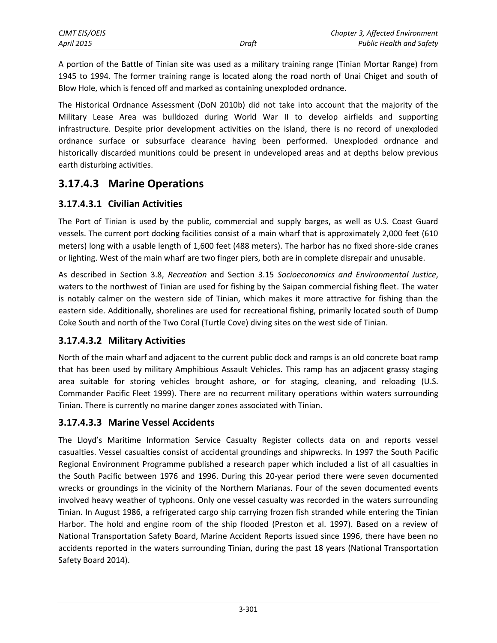| CJMT EIS/OEIS |       | Chapter 3, Affected Environment |
|---------------|-------|---------------------------------|
| April 2015    | Draft | <b>Public Health and Safety</b> |

A portion of the Battle of Tinian site was used as a military training range (Tinian Mortar Range) from 1945 to 1994. The former training range is located along the road north of Unai Chiget and south of Blow Hole, which is fenced off and marked as containing unexploded ordnance.

The Historical Ordnance Assessment (DoN 2010b) did not take into account that the majority of the Military Lease Area was bulldozed during World War II to develop airfields and supporting infrastructure. Despite prior development activities on the island, there is no record of unexploded ordnance surface or subsurface clearance having been performed. Unexploded ordnance and historically discarded munitions could be present in undeveloped areas and at depths below previous earth disturbing activities.

### **3.17.4.3 Marine Operations**

#### **3.17.4.3.1 Civilian Activities**

The Port of Tinian is used by the public, commercial and supply barges, as well as U.S. Coast Guard vessels. The current port docking facilities consist of a main wharf that is approximately 2,000 feet (610 meters) long with a usable length of 1,600 feet (488 meters). The harbor has no fixed shore-side cranes or lighting. West of the main wharf are two finger piers, both are in complete disrepair and unusable.

As described in Section 3.8, *Recreation* and Section 3.15 *Socioeconomics and Environmental Justice*, waters to the northwest of Tinian are used for fishing by the Saipan commercial fishing fleet. The water is notably calmer on the western side of Tinian, which makes it more attractive for fishing than the eastern side. Additionally, shorelines are used for recreational fishing, primarily located south of Dump Coke South and north of the Two Coral (Turtle Cove) diving sites on the west side of Tinian.

#### **3.17.4.3.2 Military Activities**

North of the main wharf and adjacent to the current public dock and ramps is an old concrete boat ramp that has been used by military Amphibious Assault Vehicles. This ramp has an adjacent grassy staging area suitable for storing vehicles brought ashore, or for staging, cleaning, and reloading (U.S. Commander Pacific Fleet 1999). There are no recurrent military operations within waters surrounding Tinian. There is currently no marine danger zones associated with Tinian.

#### **3.17.4.3.3 Marine Vessel Accidents**

The Lloyd's Maritime Information Service Casualty Register collects data on and reports vessel casualties. Vessel casualties consist of accidental groundings and shipwrecks. In 1997 the South Pacific Regional Environment Programme published a research paper which included a list of all casualties in the South Pacific between 1976 and 1996. During this 20-year period there were seven documented wrecks or groundings in the vicinity of the Northern Marianas. Four of the seven documented events involved heavy weather of typhoons. Only one vessel casualty was recorded in the waters surrounding Tinian. In August 1986, a refrigerated cargo ship carrying frozen fish stranded while entering the Tinian Harbor. The hold and engine room of the ship flooded (Preston et al. 1997). Based on a review of National Transportation Safety Board, Marine Accident Reports issued since 1996, there have been no accidents reported in the waters surrounding Tinian, during the past 18 years (National Transportation Safety Board 2014).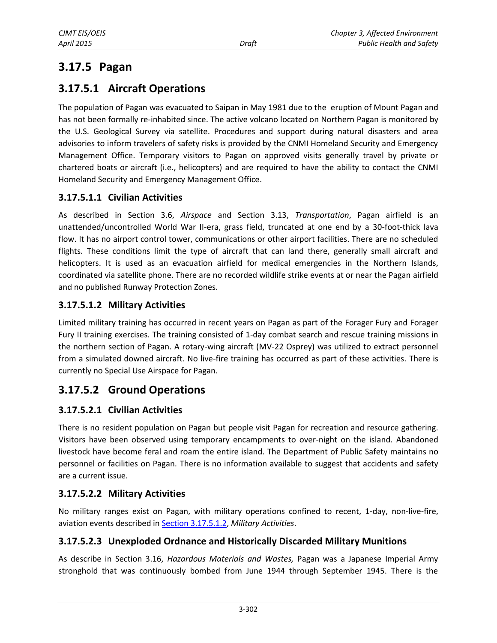# **3.17.5 Pagan**

# **3.17.5.1 Aircraft Operations**

The population of Pagan was evacuated to Saipan in May 1981 due to the eruption of Mount Pagan and has not been formally re-inhabited since. The active volcano located on Northern Pagan is monitored by the U.S. Geological Survey via satellite. Procedures and support during natural disasters and area advisories to inform travelers of safety risks is provided by the CNMI Homeland Security and Emergency Management Office. Temporary visitors to Pagan on approved visits generally travel by private or chartered boats or aircraft (i.e., helicopters) and are required to have the ability to contact the CNMI Homeland Security and Emergency Management Office.

#### **3.17.5.1.1 Civilian Activities**

As described in Section 3.6, *Airspace* and Section 3.13, *Transportation*, Pagan airfield is an unattended/uncontrolled World War II-era, grass field, truncated at one end by a 30-foot-thick lava flow. It has no airport control tower, communications or other airport facilities. There are no scheduled flights. These conditions limit the type of aircraft that can land there, generally small aircraft and helicopters. It is used as an evacuation airfield for medical emergencies in the Northern Islands, coordinated via satellite phone. There are no recorded wildlife strike events at or near the Pagan airfield and no published Runway Protection Zones.

#### <span id="page-8-0"></span>**3.17.5.1.2 Military Activities**

Limited military training has occurred in recent years on Pagan as part of the Forager Fury and Forager Fury II training exercises. The training consisted of 1-day combat search and rescue training missions in the northern section of Pagan. A rotary-wing aircraft (MV-22 Osprey) was utilized to extract personnel from a simulated downed aircraft. No live-fire training has occurred as part of these activities. There is currently no Special Use Airspace for Pagan.

# **3.17.5.2 Ground Operations**

#### **3.17.5.2.1 Civilian Activities**

There is no resident population on Pagan but people visit Pagan for recreation and resource gathering. Visitors have been observed using temporary encampments to over-night on the island. Abandoned livestock have become feral and roam the entire island. The Department of Public Safety maintains no personnel or facilities on Pagan. There is no information available to suggest that accidents and safety are a current issue.

### **3.17.5.2.2 Military Activities**

No military ranges exist on Pagan, with military operations confined to recent, 1-day, non-live-fire, aviation events described in [Section 3.17.5.1.2,](#page-8-0) *Military Activities*.

#### **3.17.5.2.3 Unexploded Ordnance and Historically Discarded Military Munitions**

As describe in Section 3.16, *Hazardous Materials and Wastes,* Pagan was a Japanese Imperial Army stronghold that was continuously bombed from June 1944 through September 1945. There is the